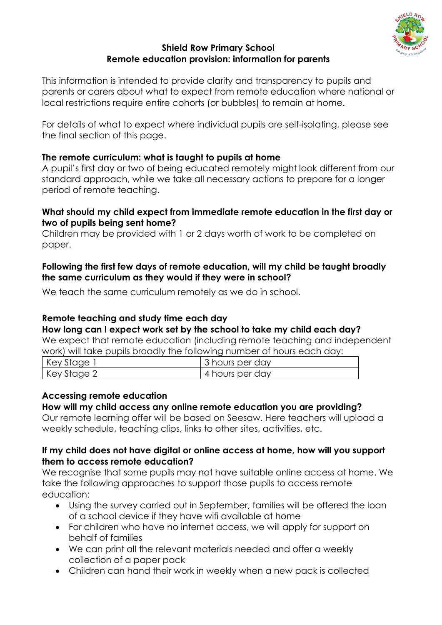

#### **Shield Row Primary School Remote education provision: information for parents**

This information is intended to provide clarity and transparency to pupils and parents or carers about what to expect from remote education where national or local restrictions require entire cohorts (or bubbles) to remain at home.

For details of what to expect where individual pupils are self-isolating, please see the final section of this page.

# **The remote curriculum: what is taught to pupils at home**

A pupil's first day or two of being educated remotely might look different from our standard approach, while we take all necessary actions to prepare for a longer period of remote teaching.

## **What should my child expect from immediate remote education in the first day or two of pupils being sent home?**

Children may be provided with 1 or 2 days worth of work to be completed on paper.

## **Following the first few days of remote education, will my child be taught broadly the same curriculum as they would if they were in school?**

We teach the same curriculum remotely as we do in school.

# **Remote teaching and study time each day**

**How long can I expect work set by the school to take my child each day?**

We expect that remote education (including remote teaching and independent work) will take pupils broadly the following number of hours each day:

| Key Stage,  | 3 hours per day |
|-------------|-----------------|
| Key Stage 2 | 4 hours per day |

# **Accessing remote education**

# **How will my child access any online remote education you are providing?**

Our remote learning offer will be based on Seesaw. Here teachers will upload a weekly schedule, teaching clips, links to other sites, activities, etc.

## **If my child does not have digital or online access at home, how will you support them to access remote education?**

We recognise that some pupils may not have suitable online access at home. We take the following approaches to support those pupils to access remote education:

- Using the survey carried out in September, families will be offered the loan of a school device if they have wifi available at home
- For children who have no internet access, we will apply for support on behalf of families
- We can print all the relevant materials needed and offer a weekly collection of a paper pack
- Children can hand their work in weekly when a new pack is collected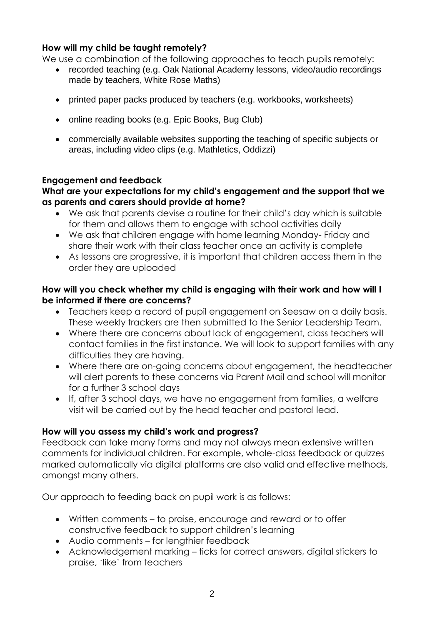## **How will my child be taught remotely?**

We use a combination of the following approaches to teach pupils remotely:

- recorded teaching (e.g. Oak National Academy lessons, video/audio recordings made by teachers, White Rose Maths)
- printed paper packs produced by teachers (e.g. workbooks, worksheets)
- online reading books (e.g. Epic Books, Bug Club)
- commercially available websites supporting the teaching of specific subjects or areas, including video clips (e.g. Mathletics, Oddizzi)

### **Engagement and feedback**

#### **What are your expectations for my child's engagement and the support that we as parents and carers should provide at home?**

- We ask that parents devise a routine for their child's day which is suitable for them and allows them to engage with school activities daily
- We ask that children engage with home learning Monday- Friday and share their work with their class teacher once an activity is complete
- As lessons are progressive, it is important that children access them in the order they are uploaded

### **How will you check whether my child is engaging with their work and how will I be informed if there are concerns?**

- Teachers keep a record of pupil engagement on Seesaw on a daily basis. These weekly trackers are then submitted to the Senior Leadership Team.
- Where there are concerns about lack of engagement, class teachers will contact families in the first instance. We will look to support families with any difficulties they are having.
- Where there are on-going concerns about engagement, the headteacher will alert parents to these concerns via Parent Mail and school will monitor for a further 3 school days
- If, after 3 school days, we have no engagement from families, a welfare visit will be carried out by the head teacher and pastoral lead.

### **How will you assess my child's work and progress?**

Feedback can take many forms and may not always mean extensive written comments for individual children. For example, whole-class feedback or quizzes marked automatically via digital platforms are also valid and effective methods, amongst many others.

Our approach to feeding back on pupil work is as follows:

- Written comments to praise, encourage and reward or to offer constructive feedback to support children's learning
- Audio comments for lengthier feedback
- Acknowledgement marking ticks for correct answers, digital stickers to praise, 'like' from teachers